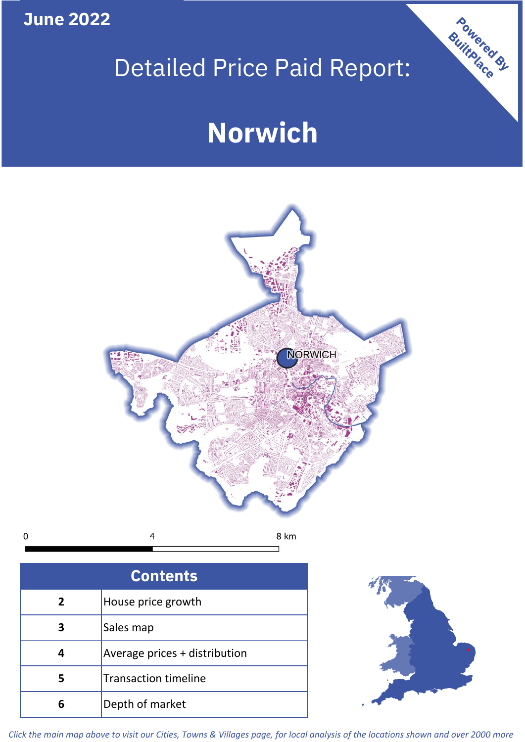**June 2022**

# Detailed Price Paid Report:

# **Norwich**



 $\mathbf 0$ 8 km 4

| <b>Contents</b> |                               |  |  |
|-----------------|-------------------------------|--|--|
| $\mathbf{2}$    | House price growth            |  |  |
| 3               | Sales map                     |  |  |
|                 | Average prices + distribution |  |  |
| 5               | <b>Transaction timeline</b>   |  |  |
|                 | Depth of market               |  |  |



Powered By

*Click the main map above to visit our Cities, Towns & Villages page, for local analysis of the locations shown and over 2000 more*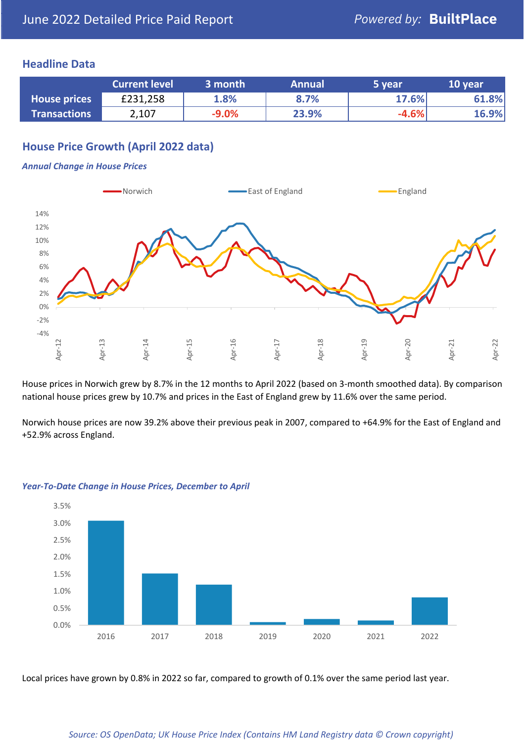### **Headline Data**

|                     | <b>Current level</b> | 3 month | <b>Annual</b> | 5 year  | 10 year |
|---------------------|----------------------|---------|---------------|---------|---------|
| <b>House prices</b> | £231,258             | 1.8%    | 8.7%          | 17.6%   | 61.8%   |
| <b>Transactions</b> | 2,107                | $-9.0%$ | 23.9%         | $-4.6%$ | 16.9%   |

# **House Price Growth (April 2022 data)**

#### *Annual Change in House Prices*



House prices in Norwich grew by 8.7% in the 12 months to April 2022 (based on 3-month smoothed data). By comparison national house prices grew by 10.7% and prices in the East of England grew by 11.6% over the same period.

Norwich house prices are now 39.2% above their previous peak in 2007, compared to +64.9% for the East of England and +52.9% across England.



#### *Year-To-Date Change in House Prices, December to April*

Local prices have grown by 0.8% in 2022 so far, compared to growth of 0.1% over the same period last year.

#### *Source: OS OpenData; UK House Price Index (Contains HM Land Registry data © Crown copyright)*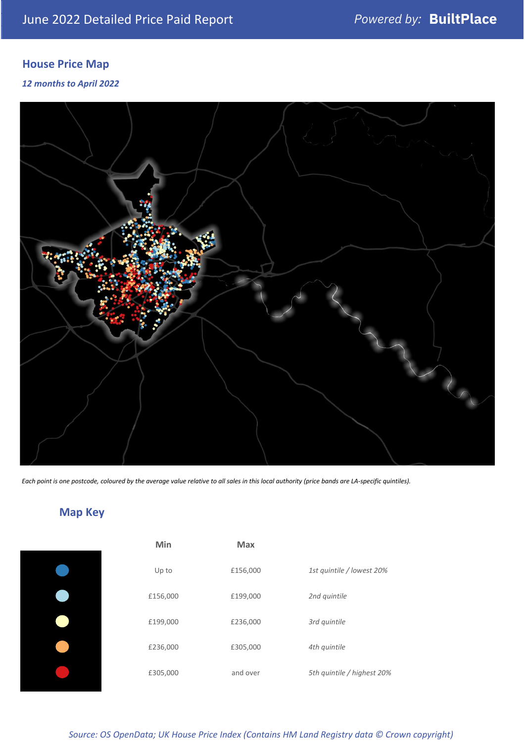# **House Price Map**

### *12 months to April 2022*



*Each point is one postcode, coloured by the average value relative to all sales in this local authority (price bands are LA-specific quintiles).*

# **Map Key**

| Min      | <b>Max</b> |                            |
|----------|------------|----------------------------|
| Up to    | £156,000   | 1st quintile / lowest 20%  |
| £156,000 | £199,000   | 2nd quintile               |
| £199,000 | £236,000   | 3rd quintile               |
| £236,000 | £305,000   | 4th quintile               |
| £305,000 | and over   | 5th quintile / highest 20% |

## *Source: OS OpenData; UK House Price Index (Contains HM Land Registry data © Crown copyright)*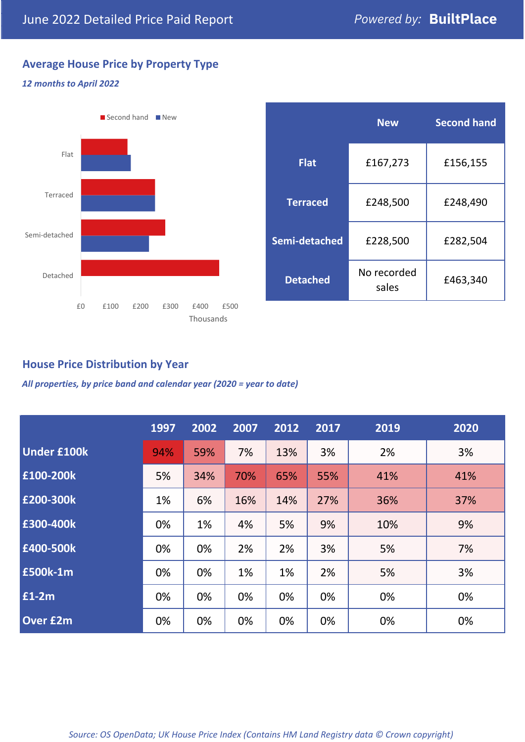# **Average House Price by Property Type**

#### *12 months to April 2022*



|                 | <b>New</b>           | <b>Second hand</b> |  |  |
|-----------------|----------------------|--------------------|--|--|
| <b>Flat</b>     | £167,273             | £156,155           |  |  |
| <b>Terraced</b> | £248,500             | £248,490           |  |  |
| Semi-detached   | £228,500             | £282,504           |  |  |
| <b>Detached</b> | No recorded<br>sales | £463,340           |  |  |

## **House Price Distribution by Year**

*All properties, by price band and calendar year (2020 = year to date)*

|                    | 1997 | 2002 | 2007 | 2012 | 2017 | 2019 | 2020 |
|--------------------|------|------|------|------|------|------|------|
| <b>Under £100k</b> | 94%  | 59%  | 7%   | 13%  | 3%   | 2%   | 3%   |
| £100-200k          | 5%   | 34%  | 70%  | 65%  | 55%  | 41%  | 41%  |
| E200-300k          | 1%   | 6%   | 16%  | 14%  | 27%  | 36%  | 37%  |
| £300-400k          | 0%   | 1%   | 4%   | 5%   | 9%   | 10%  | 9%   |
| £400-500k          | 0%   | 0%   | 2%   | 2%   | 3%   | 5%   | 7%   |
| <b>£500k-1m</b>    | 0%   | 0%   | 1%   | 1%   | 2%   | 5%   | 3%   |
| £1-2m              | 0%   | 0%   | 0%   | 0%   | 0%   | 0%   | 0%   |
| <b>Over £2m</b>    | 0%   | 0%   | 0%   | 0%   | 0%   | 0%   | 0%   |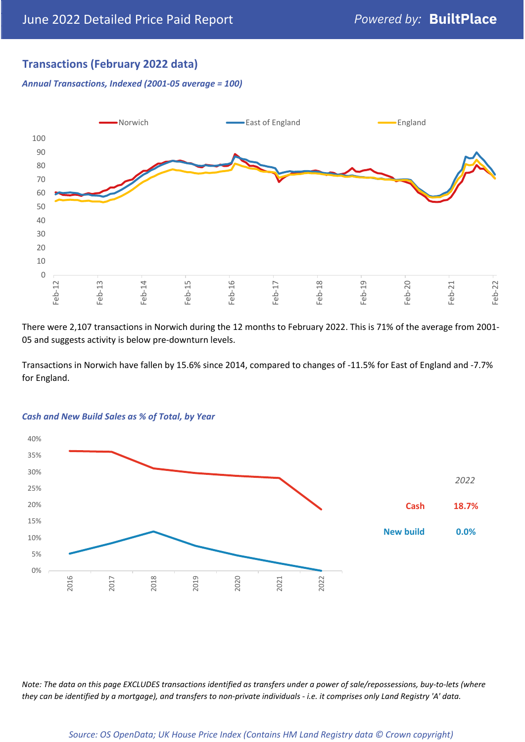# **Transactions (February 2022 data)**

*Annual Transactions, Indexed (2001-05 average = 100)*



There were 2,107 transactions in Norwich during the 12 months to February 2022. This is 71% of the average from 2001- 05 and suggests activity is below pre-downturn levels.

Transactions in Norwich have fallen by 15.6% since 2014, compared to changes of -11.5% for East of England and -7.7% for England.



#### *Cash and New Build Sales as % of Total, by Year*

*Note: The data on this page EXCLUDES transactions identified as transfers under a power of sale/repossessions, buy-to-lets (where they can be identified by a mortgage), and transfers to non-private individuals - i.e. it comprises only Land Registry 'A' data.*